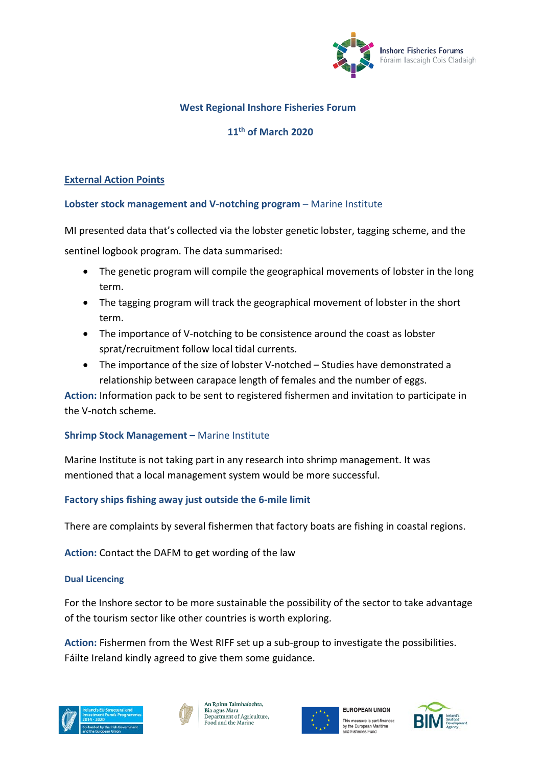

# **West Regional Inshore Fisheries Forum**

## **11th of March 2020**

## **External Action Points**

#### **Lobster stock management and V-notching program** – Marine Institute

MI presented data that's collected via the lobster genetic lobster, tagging scheme, and the sentinel logbook program. The data summarised:

- The genetic program will compile the geographical movements of lobster in the long term.
- The tagging program will track the geographical movement of lobster in the short term.
- The importance of V-notching to be consistence around the coast as lobster sprat/recruitment follow local tidal currents.
- The importance of the size of lobster V-notched Studies have demonstrated a relationship between carapace length of females and the number of eggs.

**Action:** Information pack to be sent to registered fishermen and invitation to participate in the V-notch scheme.

## **Shrimp Stock Management –** Marine Institute

Marine Institute is not taking part in any research into shrimp management. It was mentioned that a local management system would be more successful.

## **Factory ships fishing away just outside the 6-mile limit**

There are complaints by several fishermen that factory boats are fishing in coastal regions.

**Action:** Contact the DAFM to get wording of the law

#### **Dual Licencing**

For the Inshore sector to be more sustainable the possibility of the sector to take advantage of the tourism sector like other countries is worth exploring.

**Action:** Fishermen from the West RIFF set up a sub-group to investigate the possibilities. Fáilte Ireland kindly agreed to give them some guidance.





An Roinn Talmhaíochta, Bia agus Mara<br>Department of Agriculture, Food and the Marine



**EUROPEAN UNION** This measure is part-financec by the European Maritime<br>and Fisheries Fund